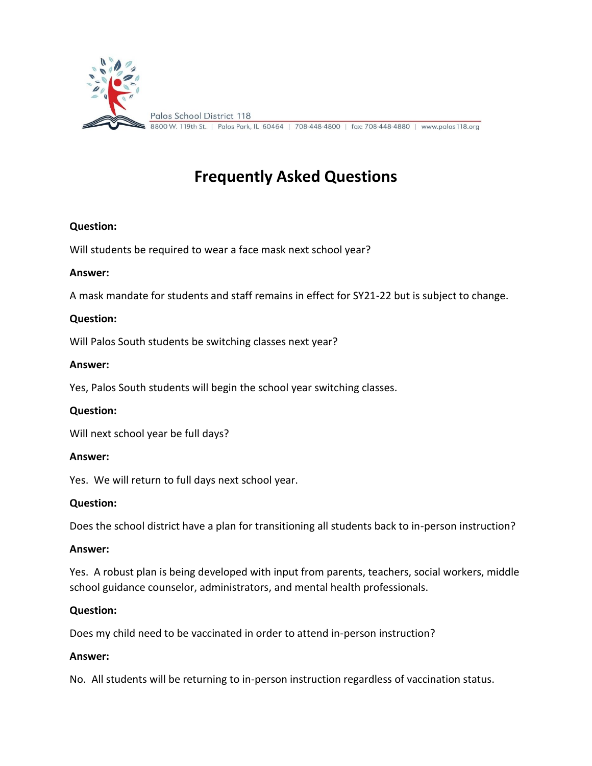

# **Frequently Asked Questions**

# **Question:**

Will students be required to wear a face mask next school year?

### **Answer:**

A mask mandate for students and staff remains in effect for SY21-22 but is subject to change.

# **Question:**

Will Palos South students be switching classes next year?

### **Answer:**

Yes, Palos South students will begin the school year switching classes.

### **Question:**

Will next school year be full days?

### **Answer:**

Yes. We will return to full days next school year.

### **Question:**

Does the school district have a plan for transitioning all students back to in-person instruction?

### **Answer:**

Yes. A robust plan is being developed with input from parents, teachers, social workers, middle school guidance counselor, administrators, and mental health professionals.

### **Question:**

Does my child need to be vaccinated in order to attend in-person instruction?

### **Answer:**

No. All students will be returning to in-person instruction regardless of vaccination status.